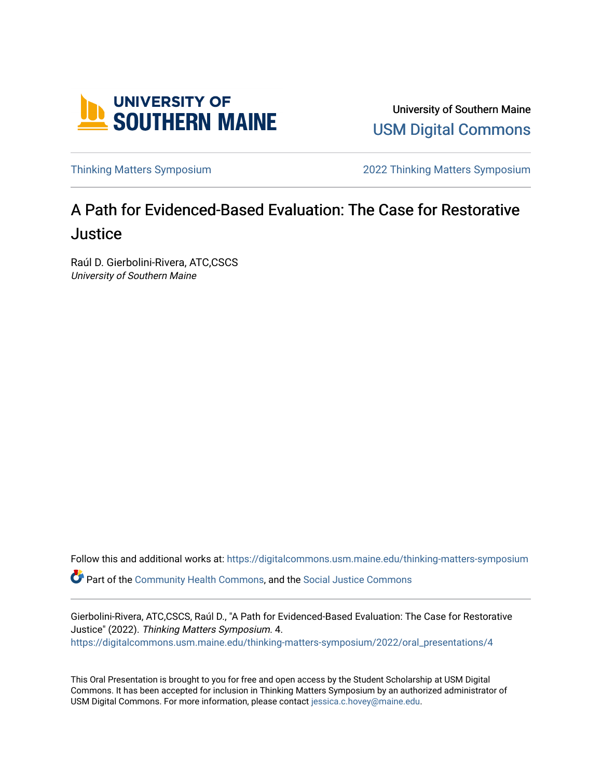

University of Southern Maine [USM Digital Commons](https://digitalcommons.usm.maine.edu/) 

[Thinking Matters Symposium](https://digitalcommons.usm.maine.edu/thinking-matters-symposium) [2022 Thinking Matters Symposium](https://digitalcommons.usm.maine.edu/thinking-matters-symposium/2022) 

## A Path for Evidenced-Based Evaluation: The Case for Restorative **Justice**

Raúl D. Gierbolini-Rivera, ATC,CSCS University of Southern Maine

Follow this and additional works at: [https://digitalcommons.usm.maine.edu/thinking-matters-symposium](https://digitalcommons.usm.maine.edu/thinking-matters-symposium?utm_source=digitalcommons.usm.maine.edu%2Fthinking-matters-symposium%2F2022%2Foral_presentations%2F4&utm_medium=PDF&utm_campaign=PDFCoverPages) 

Part of the [Community Health Commons,](http://network.bepress.com/hgg/discipline/714?utm_source=digitalcommons.usm.maine.edu%2Fthinking-matters-symposium%2F2022%2Foral_presentations%2F4&utm_medium=PDF&utm_campaign=PDFCoverPages) and the [Social Justice Commons](http://network.bepress.com/hgg/discipline/1432?utm_source=digitalcommons.usm.maine.edu%2Fthinking-matters-symposium%2F2022%2Foral_presentations%2F4&utm_medium=PDF&utm_campaign=PDFCoverPages)

Gierbolini-Rivera, ATC,CSCS, Raúl D., "A Path for Evidenced-Based Evaluation: The Case for Restorative Justice" (2022). Thinking Matters Symposium. 4. [https://digitalcommons.usm.maine.edu/thinking-matters-symposium/2022/oral\\_presentations/4](https://digitalcommons.usm.maine.edu/thinking-matters-symposium/2022/oral_presentations/4?utm_source=digitalcommons.usm.maine.edu%2Fthinking-matters-symposium%2F2022%2Foral_presentations%2F4&utm_medium=PDF&utm_campaign=PDFCoverPages) 

This Oral Presentation is brought to you for free and open access by the Student Scholarship at USM Digital Commons. It has been accepted for inclusion in Thinking Matters Symposium by an authorized administrator of USM Digital Commons. For more information, please contact [jessica.c.hovey@maine.edu](mailto:ian.fowler@maine.edu).